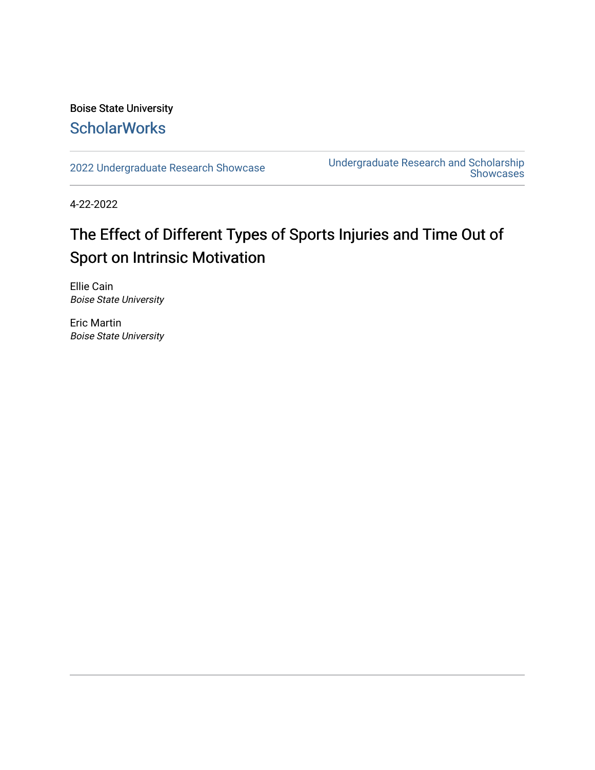## Boise State University **ScholarWorks**

[2022 Undergraduate Research Showcase](https://scholarworks.boisestate.edu/under_showcase_2022) [Undergraduate Research and Scholarship](https://scholarworks.boisestate.edu/under_conference)  [Showcases](https://scholarworks.boisestate.edu/under_conference) 

4-22-2022

## The Effect of Different Types of Sports Injuries and Time Out of Sport on Intrinsic Motivation

Ellie Cain Boise State University

Eric Martin Boise State University